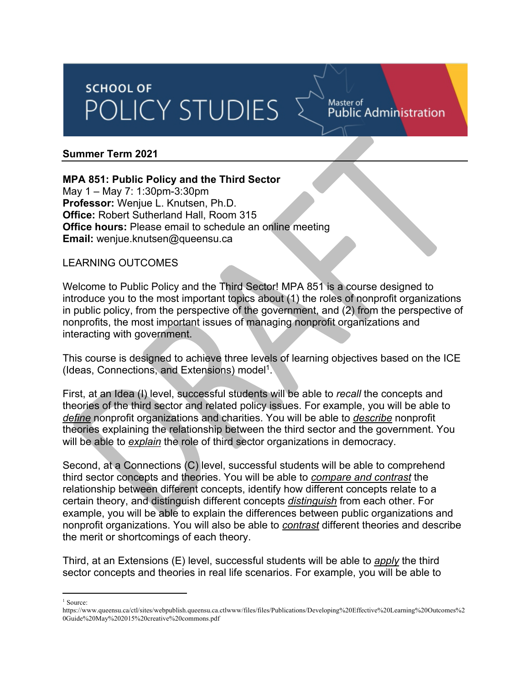# **SCHOOL OF** POLICY STUDIES

Master of Public Administration

#### **Summer Term 2021**

#### **MPA 851: Public Policy and the Third Sector**

May 1 – May 7: 1:30pm-3:30pm **Professor:** Wenjue L. Knutsen, Ph.D. **Office:** Robert Sutherland Hall, Room 315 **Office hours:** Please email to schedule an online meeting **Email:** wenjue.knutsen@queensu.ca

#### LEARNING OUTCOMES

Welcome to Public Policy and the Third Sector! MPA 851 is a course designed to introduce you to the most important topics about (1) the roles of nonprofit organizations in public policy, from the perspective of the government, and (2) from the perspective of nonprofits, the most important issues of managing nonprofit organizations and interacting with government.

This course is designed to achieve three levels of learning objectives based on the ICE (Ideas, Connections, and Extensions) model1.

First, at an Idea (I) level, successful students will be able to *recall* the concepts and theories of the third sector and related policy issues. For example, you will be able to *define* nonprofit organizations and charities. You will be able to *describe* nonprofit theories explaining the relationship between the third sector and the government. You will be able to *explain* the role of third sector organizations in democracy.

Second, at a Connections (C) level, successful students will be able to comprehend third sector concepts and theories. You will be able to *compare and contrast* the relationship between different concepts, identify how different concepts relate to a certain theory, and distinguish different concepts *distinguish* from each other. For example, you will be able to explain the differences between public organizations and nonprofit organizations. You will also be able to *contrast* different theories and describe the merit or shortcomings of each theory.

Third, at an Extensions (E) level, successful students will be able to *apply* the third sector concepts and theories in real life scenarios. For example, you will be able to

<sup>&</sup>lt;sup>1</sup> Source:

https://www.queensu.ca/ctl/sites/webpublish.queensu.ca.ctlwww/files/files/Publications/Developing%20Effective%20Learning%20Outcomes%2 0Guide%20May%202015%20creative%20commons.pdf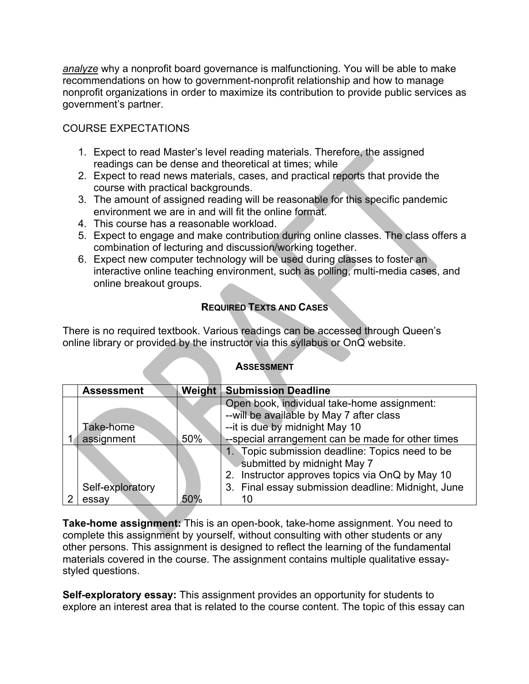*analyze* why a nonprofit board governance is malfunctioning. You will be able to make recommendations on how to government-nonprofit relationship and how to manage nonprofit organizations in order to maximize its contribution to provide public services as government's partner.

# COURSE EXPECTATIONS

- 1. Expect to read Master's level reading materials. Therefore, the assigned readings can be dense and theoretical at times; while
- 2. Expect to read news materials, cases, and practical reports that provide the course with practical backgrounds.
- 3. The amount of assigned reading will be reasonable for this specific pandemic environment we are in and will fit the online format.
- 4. This course has a reasonable workload.
- 5. Expect to engage and make contribution during online classes. The class offers a combination of lecturing and discussion/working together.
- 6. Expect new computer technology will be used during classes to foster an interactive online teaching environment, such as polling, multi-media cases, and online breakout groups.

# **REQUIRED TEXTS AND CASES**

There is no required textbook. Various readings can be accessed through Queen's online library or provided by the instructor via this syllabus or OnQ website.

#### **ASSESSMENT**

| <b>Assessment</b> | Weight | <b>Submission Deadline</b>                         |
|-------------------|--------|----------------------------------------------------|
|                   |        | Open book, individual take-home assignment:        |
|                   |        | --will be available by May 7 after class           |
| Take-home         |        | -- it is due by midnight May 10                    |
| assignment        | $50\%$ | --special arrangement can be made for other times  |
|                   |        | 1. Topic submission deadline: Topics need to be    |
|                   |        | submitted by midnight May 7                        |
|                   |        | 2. Instructor approves topics via OnQ by May 10    |
| Self-exploratory  |        | 3. Final essay submission deadline: Midnight, June |
| essay             | 50%    |                                                    |

**Take-home assignment:** This is an open-book, take-home assignment. You need to complete this assignment by yourself, without consulting with other students or any other persons. This assignment is designed to reflect the learning of the fundamental materials covered in the course. The assignment contains multiple qualitative essaystyled questions.

**Self-exploratory essay:** This assignment provides an opportunity for students to explore an interest area that is related to the course content. The topic of this essay can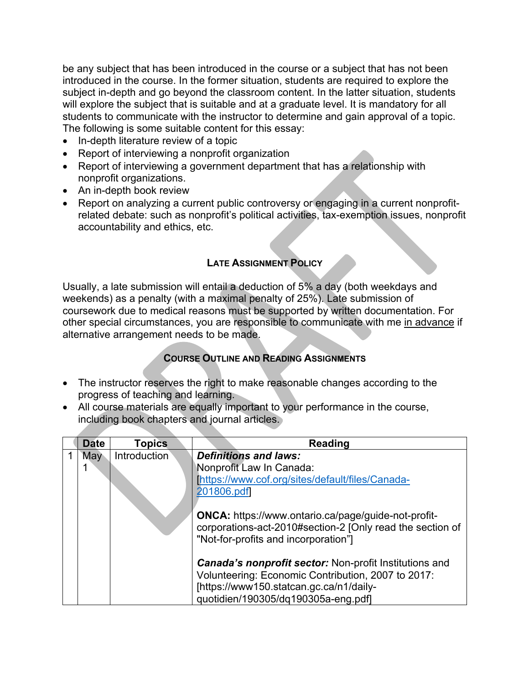be any subject that has been introduced in the course or a subject that has not been introduced in the course. In the former situation, students are required to explore the subject in-depth and go beyond the classroom content. In the latter situation, students will explore the subject that is suitable and at a graduate level. It is mandatory for all students to communicate with the instructor to determine and gain approval of a topic. The following is some suitable content for this essay:

- In-depth literature review of a topic
- Report of interviewing a nonprofit organization
- Report of interviewing a government department that has a relationship with nonprofit organizations.
- An in-depth book review
- Report on analyzing a current public controversy or engaging in a current nonprofitrelated debate: such as nonprofit's political activities, tax-exemption issues, nonprofit accountability and ethics, etc.

#### **LATE ASSIGNMENT POLICY**

Usually, a late submission will entail a deduction of 5% a day (both weekdays and weekends) as a penalty (with a maximal penalty of 25%). Late submission of coursework due to medical reasons must be supported by written documentation. For other special circumstances, you are responsible to communicate with me in advance if alternative arrangement needs to be made.

## **COURSE OUTLINE AND READING ASSIGNMENTS**

- The instructor reserves the right to make reasonable changes according to the progress of teaching and learning.
- All course materials are equally important to your performance in the course, including book chapters and journal articles.

| <b>Date</b> | <b>Topics</b> | <b>Reading</b>                                                                                                                                                  |
|-------------|---------------|-----------------------------------------------------------------------------------------------------------------------------------------------------------------|
| May         | Introduction  | <b>Definitions and laws:</b>                                                                                                                                    |
|             |               | Nonprofit Law In Canada:                                                                                                                                        |
|             |               | [https://www.cof.org/sites/default/files/Canada-                                                                                                                |
|             |               | 201806.pdf                                                                                                                                                      |
|             |               | <b>ONCA:</b> https://www.ontario.ca/page/guide-not-profit-<br>corporations-act-2010#section-2 [Only read the section of<br>"Not-for-profits and incorporation"] |
|             |               | <b>Canada's nonprofit sector:</b> Non-profit Institutions and                                                                                                   |
|             |               | Volunteering: Economic Contribution, 2007 to 2017:                                                                                                              |
|             |               | [https://www150.statcan.gc.ca/n1/daily-                                                                                                                         |
|             |               | quotidien/190305/dq190305a-eng.pdf]                                                                                                                             |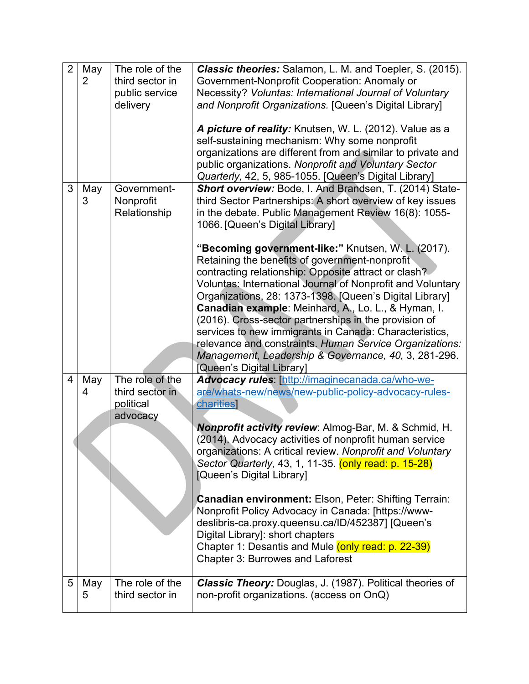| $\overline{2}$ | May<br>2 | The role of the<br>third sector in<br>public service<br>delivery | Classic theories: Salamon, L. M. and Toepler, S. (2015).<br>Government-Nonprofit Cooperation: Anomaly or<br>Necessity? Voluntas: International Journal of Voluntary<br>and Nonprofit Organizations. [Queen's Digital Library]                                                                                                                                                                                                                                                                                                                                                                                                                                                                                                                                                                                                      |
|----------------|----------|------------------------------------------------------------------|------------------------------------------------------------------------------------------------------------------------------------------------------------------------------------------------------------------------------------------------------------------------------------------------------------------------------------------------------------------------------------------------------------------------------------------------------------------------------------------------------------------------------------------------------------------------------------------------------------------------------------------------------------------------------------------------------------------------------------------------------------------------------------------------------------------------------------|
|                |          |                                                                  | A picture of reality: Knutsen, W. L. (2012). Value as a<br>self-sustaining mechanism: Why some nonprofit<br>organizations are different from and similar to private and<br>public organizations. Nonprofit and Voluntary Sector<br>Quarterly, 42, 5, 985-1055. [Queen's Digital Library]                                                                                                                                                                                                                                                                                                                                                                                                                                                                                                                                           |
| 3              | May<br>3 | Government-<br>Nonprofit<br>Relationship                         | Short overview: Bode, I. And Brandsen, T. (2014) State-<br>third Sector Partnerships: A short overview of key issues<br>in the debate. Public Management Review 16(8): 1055-<br>1066. [Queen's Digital Library]<br>"Becoming government-like:" Knutsen, W. L. (2017).<br>Retaining the benefits of government-nonprofit<br>contracting relationship: Opposite attract or clash?<br>Voluntas: International Journal of Nonprofit and Voluntary<br>Organizations, 28: 1373-1398. [Queen's Digital Library]<br>Canadian example: Meinhard, A., Lo. L., & Hyman, I.<br>(2016). Cross-sector partnerships in the provision of<br>services to new immigrants in Canada: Characteristics,<br>relevance and constraints. Human Service Organizations:<br>Management, Leadership & Governance, 40, 3, 281-296.<br>[Queen's Digital Library] |
| 4              | May<br>4 | The role of the<br>third sector in<br>political<br>advocacy      | Advocacy rules: [http://imaginecanada.ca/who-we-<br>are/whats-new/news/new-public-policy-advocacy-rules-<br>charities]<br><b>Nonprofit activity review: Almog-Bar, M. &amp; Schmid, H.</b><br>(2014). Advocacy activities of nonprofit human service<br>organizations: A critical review. Nonprofit and Voluntary<br>Sector Quarterly, 43, 1, 11-35. (only read: p. 15-28)<br>[Queen's Digital Library]<br><b>Canadian environment: Elson, Peter: Shifting Terrain:</b><br>Nonprofit Policy Advocacy in Canada: [https://www-                                                                                                                                                                                                                                                                                                      |
| 5              | May<br>5 | The role of the<br>third sector in                               | deslibris-ca.proxy.queensu.ca/ID/452387] [Queen's<br>Digital Library]: short chapters<br>Chapter 1: Desantis and Mule (only read: p. 22-39)<br>Chapter 3: Burrowes and Laforest<br><b>Classic Theory:</b> Douglas, J. (1987). Political theories of<br>non-profit organizations. (access on OnQ)                                                                                                                                                                                                                                                                                                                                                                                                                                                                                                                                   |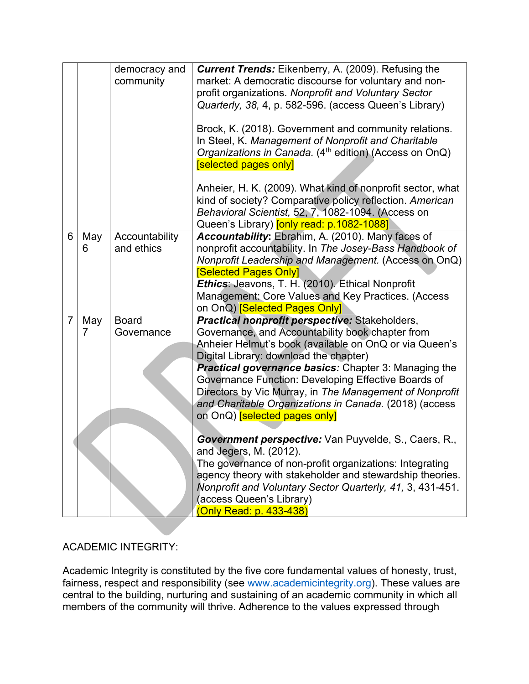|                |          | democracy and<br>community   | <b>Current Trends:</b> Eikenberry, A. (2009). Refusing the<br>market: A democratic discourse for voluntary and non-<br>profit organizations. Nonprofit and Voluntary Sector<br>Quarterly, 38, 4, p. 582-596. (access Queen's Library)<br>Brock, K. (2018). Government and community relations.<br>In Steel, K. Management of Nonprofit and Charitable<br>Organizations in Canada. (4 <sup>th</sup> edition) (Access on OnQ)<br><b>Selected pages only</b><br>Anheier, H. K. (2009). What kind of nonprofit sector, what |
|----------------|----------|------------------------------|-------------------------------------------------------------------------------------------------------------------------------------------------------------------------------------------------------------------------------------------------------------------------------------------------------------------------------------------------------------------------------------------------------------------------------------------------------------------------------------------------------------------------|
|                |          |                              | kind of society? Comparative policy reflection. American<br>Behavioral Scientist, 52, 7, 1082-1094. (Access on<br>Queen's Library) [only read: p.1082-1088]                                                                                                                                                                                                                                                                                                                                                             |
| 6              | May<br>6 | Accountability<br>and ethics | Accountability: Ebrahim, A. (2010). Many faces of<br>nonprofit accountability. In The Josey-Bass Handbook of<br>Nonprofit Leadership and Management. (Access on OnQ)<br><b>Selected Pages Only]</b><br>Ethics: Jeavons, T. H. (2010). Ethical Nonprofit<br>Management: Core Values and Key Practices. (Access<br>on OnQ) <b>Selected Pages Only</b>                                                                                                                                                                     |
| $\overline{7}$ | May<br>7 | <b>Board</b><br>Governance   | Practical nonprofit perspective: Stakeholders,<br>Governance, and Accountability book chapter from<br>Anheier Helmut's book (available on OnQ or via Queen's<br>Digital Library: download the chapter)<br><b>Practical governance basics:</b> Chapter 3: Managing the<br>Governance Function: Developing Effective Boards of<br>Directors by Vic Murray, in The Management of Nonprofit<br>and Charitable Organizations in Canada. (2018) (access<br>on OnQ) [selected pages only]                                      |
|                |          |                              | Government perspective: Van Puyvelde, S., Caers, R.,<br>and Jegers, M. (2012).<br>The governance of non-profit organizations: Integrating<br>agency theory with stakeholder and stewardship theories.<br>Nonprofit and Voluntary Sector Quarterly, 41, 3, 431-451.<br>(access Queen's Library)<br>(Only Read: p. 433-438)                                                                                                                                                                                               |

# ACADEMIC INTEGRITY:

Academic Integrity is constituted by the five core fundamental values of honesty, trust, fairness, respect and responsibility (see www.academicintegrity.org). These values are central to the building, nurturing and sustaining of an academic community in which all members of the community will thrive. Adherence to the values expressed through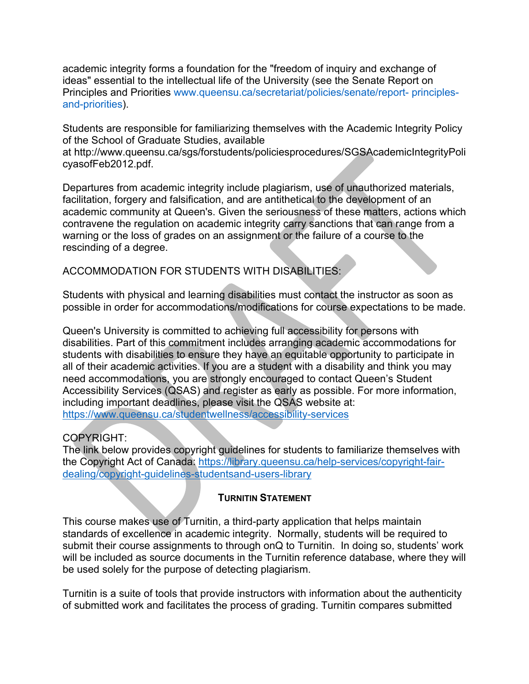academic integrity forms a foundation for the "freedom of inquiry and exchange of ideas" essential to the intellectual life of the University (see the Senate Report on Principles and Priorities www.queensu.ca/secretariat/policies/senate/report- principlesand-priorities).

Students are responsible for familiarizing themselves with the Academic Integrity Policy of the School of Graduate Studies, available

at http://www.queensu.ca/sgs/forstudents/policiesprocedures/SGSAcademicIntegrityPoli cyasofFeb2012.pdf.

Departures from academic integrity include plagiarism, use of unauthorized materials, facilitation, forgery and falsification, and are antithetical to the development of an academic community at Queen's. Given the seriousness of these matters, actions which contravene the regulation on academic integrity carry sanctions that can range from a warning or the loss of grades on an assignment or the failure of a course to the rescinding of a degree.

ACCOMMODATION FOR STUDENTS WITH DISABILITIES:

Students with physical and learning disabilities must contact the instructor as soon as possible in order for accommodations/modifications for course expectations to be made.

Queen's University is committed to achieving full accessibility for persons with disabilities. Part of this commitment includes arranging academic accommodations for students with disabilities to ensure they have an equitable opportunity to participate in all of their academic activities. If you are a student with a disability and think you may need accommodations, you are strongly encouraged to contact Queen's Student Accessibility Services (QSAS) and register as early as possible. For more information, including important deadlines, please visit the QSAS website at: https://www.queensu.ca/studentwellness/accessibility-services

## COPYRIGHT:

The link below provides copyright guidelines for students to familiarize themselves with the Copyright Act of Canada: https://library.queensu.ca/help-services/copyright-fairdealing/copyright-guidelines-studentsand-users-library

## **TURNITIN STATEMENT**

This course makes use of Turnitin, a third-party application that helps maintain standards of excellence in academic integrity. Normally, students will be required to submit their course assignments to through onQ to Turnitin. In doing so, students' work will be included as source documents in the Turnitin reference database, where they will be used solely for the purpose of detecting plagiarism.

Turnitin is a suite of tools that provide instructors with information about the authenticity of submitted work and facilitates the process of grading. Turnitin compares submitted